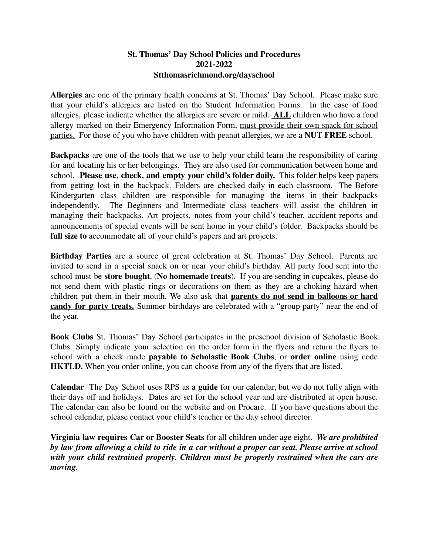## **St. Thomas' Day School Policies and Procedures 2021-2022 Stthomasrichmond.org/dayschool**

**Allergies** are one of the primary health concerns at St. Thomas' Day School. Please make sure that your child's allergies are listed on the Student Information Forms. In the case of food allergies, please indicate whether the allergies are severe or mild. **ALL** children who have a food allergy marked on their Emergency Information Form, must provide their own snack for school parties. For those of you who have children with peanut allergies, we are a **NUT FREE** school.

**Backpacks** are one of the tools that we use to help your child learn the responsibility of caring for and locating his or her belongings. They are also used for communication between home and school. **Please use, check, and empty your child's folder daily.** This folder helps keep papers from getting lost in the backpack. Folders are checked daily in each classroom. The Before Kindergarten class children are responsible for managing the items in their backpacks independently. The Beginners and Intermediate class teachers will assist the children in managing their backpacks. Art projects, notes from your child's teacher, accident reports and announcements of special events will be sent home in your child's folder. Backpacks should be **full size to** accommodate all of your child's papers and art projects.

**Birthday Parties** are a source of great celebration at St. Thomas' Day School. Parents are invited to send in a special snack on or near your child's birthday. All party food sent into the school must be **store bought**, (**No homemade treats**). If you are sending in cupcakes, please do not send them with plastic rings or decorations on them as they are a choking hazard when children put them in their mouth. We also ask that **parents do not send in balloons or hard candy for party treats.** Summer birthdays are celebrated with a "group party" near the end of the year.

**Book Clubs** St. Thomas' Day School participates in the preschool division of Scholastic Book Clubs. Simply indicate your selection on the order form in the flyers and return the flyers to school with a check made **payable to Scholastic Book Clubs**, or **order online** using code **HKTLD.** When you order online, you can choose from any of the flyers that are listed.

**Calendar** The Day School uses RPS as a **guide** for our calendar, but we do not fully align with their days off and holidays. Dates are set for the school year and are distributed at open house. The calendar can also be found on the website and on Procare. If you have questions about the school calendar, please contact your child's teacher or the day school director.

**Virginia law requires Car or Booster Seats** for all children under age eight. *We are prohibited* by law from allowing a child to ride in a car without a proper car seat. Please arrive at school *with your child restrained properly. Children must be properly restrained when the cars are moving.*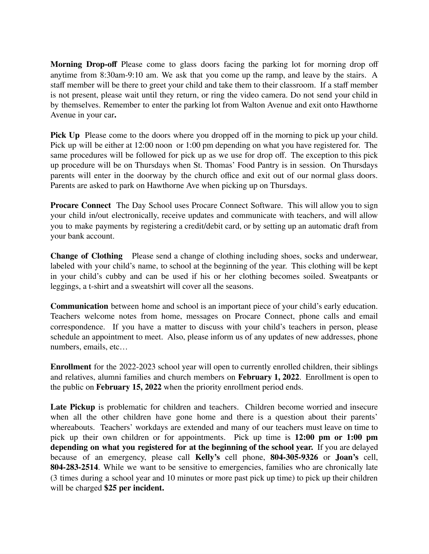**Morning Drop-off** Please come to glass doors facing the parking lot for morning drop off anytime from 8:30am-9:10 am. We ask that you come up the ramp, and leave by the stairs. A staff member will be there to greet your child and take them to their classroom. If a staff member is not present, please wait until they return, or ring the video camera. Do not send your child in by themselves. Remember to enter the parking lot from Walton Avenue and exit onto Hawthorne Avenue in your car**.**

**Pick Up** Please come to the doors where you dropped off in the morning to pick up your child. Pick up will be either at 12:00 noon or 1:00 pm depending on what you have registered for. The same procedures will be followed for pick up as we use for drop off. The exception to this pick up procedure will be on Thursdays when St. Thomas' Food Pantry is in session. On Thursdays parents will enter in the doorway by the church office and exit out of our normal glass doors. Parents are asked to park on Hawthorne Ave when picking up on Thursdays.

**Procare Connect** The Day School uses Procare Connect Software. This will allow you to sign your child in/out electronically, receive updates and communicate with teachers, and will allow you to make payments by registering a credit/debit card, or by setting up an automatic draft from your bank account.

**Change of Clothing** Please send a change of clothing including shoes, socks and underwear, labeled with your child's name, to school at the beginning of the year. This clothing will be kept in your child's cubby and can be used if his or her clothing becomes soiled. Sweatpants or leggings, a t-shirt and a sweatshirt will cover all the seasons.

**Communication** between home and school is an important piece of your child's early education. Teachers welcome notes from home, messages on Procare Connect, phone calls and email correspondence. If you have a matter to discuss with your child's teachers in person, please schedule an appointment to meet. Also, please inform us of any updates of new addresses, phone numbers, emails, etc…

**Enrollment** for the 2022-2023 school year will open to currently enrolled children, their siblings and relatives, alumni families and church members on **February 1, 2022**. Enrollment is open to the public on **February 15, 2022** when the priority enrollment period ends.

**Late Pickup** is problematic for children and teachers. Children become worried and insecure when all the other children have gone home and there is a question about their parents' whereabouts. Teachers' workdays are extended and many of our teachers must leave on time to pick up their own children or for appointments. Pick up time is **12:00 pm or 1:00 pm depending on what you registered for at the beginning of the school year.** If you are delayed because of an emergency, please call **Kelly's** cell phone, **804-305-9326** or **Joan's** cell, **804-283-2514**. While we want to be sensitive to emergencies, families who are chronically late (3 times during a school year and 10 minutes or more past pick up time) to pick up their children will be charged **\$25 per incident.**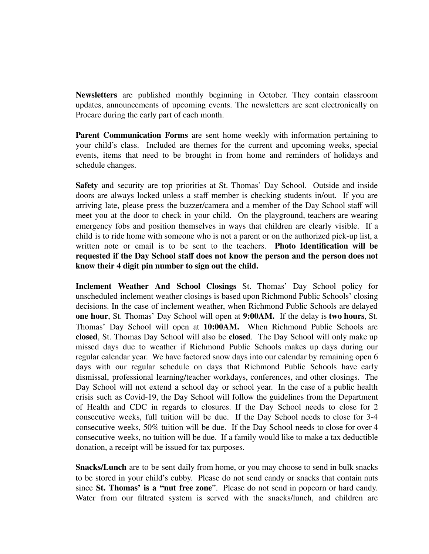**Newsletters** are published monthly beginning in October. They contain classroom updates, announcements of upcoming events. The newsletters are sent electronically on Procare during the early part of each month.

**Parent Communication Forms** are sent home weekly with information pertaining to your child's class. Included are themes for the current and upcoming weeks, special events, items that need to be brought in from home and reminders of holidays and schedule changes.

**Safety** and security are top priorities at St. Thomas' Day School. Outside and inside doors are always locked unless a staff member is checking students in/out. If you are arriving late, please press the buzzer/camera and a member of the Day School staff will meet you at the door to check in your child. On the playground, teachers are wearing emergency fobs and position themselves in ways that children are clearly visible. If a child is to ride home with someone who is not a parent or on the authorized pick-up list, a written note or email is to be sent to the teachers. **Photo Identification will be requested if the Day School staff does not know the person and the person does not know their 4 digit pin number to sign out the child.** 

**Inclement Weather And School Closings** St. Thomas' Day School policy for unscheduled inclement weather closings is based upon Richmond Public Schools' closing decisions. In the case of inclement weather, when Richmond Public Schools are delayed **one hour**, St. Thomas' Day School will open at **9:00AM.** If the delay is **two hours**, St. Thomas' Day School will open at **10:00AM.** When Richmond Public Schools are **closed**, St. Thomas Day School will also be **closed**. The Day School will only make up missed days due to weather if Richmond Public Schools makes up days during our regular calendar year. We have factored snow days into our calendar by remaining open 6 days with our regular schedule on days that Richmond Public Schools have early dismissal, professional learning/teacher workdays, conferences, and other closings. The Day School will not extend a school day or school year. In the case of a public health crisis such as Covid-19, the Day School will follow the guidelines from the Department of Health and CDC in regards to closures. If the Day School needs to close for 2 consecutive weeks, full tuition will be due. If the Day School needs to close for 3-4 consecutive weeks, 50% tuition will be due. If the Day School needs to close for over 4 consecutive weeks, no tuition will be due. If a family would like to make a tax deductible donation, a receipt will be issued for tax purposes.

**Snacks/Lunch** are to be sent daily from home, or you may choose to send in bulk snacks to be stored in your child's cubby. Please do not send candy or snacks that contain nuts since **St. Thomas' is a "nut free zone**". Please do not send in popcorn or hard candy. Water from our filtrated system is served with the snacks/lunch, and children are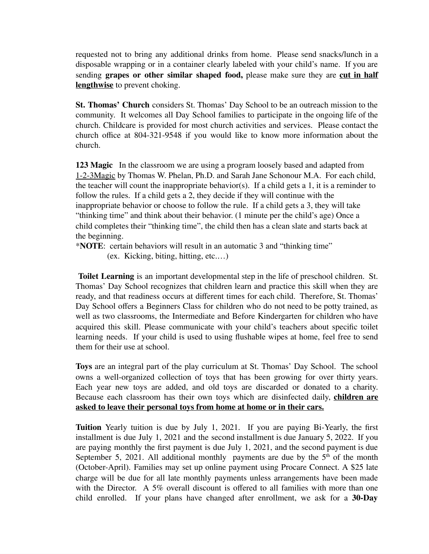requested not to bring any additional drinks from home. Please send snacks/lunch in a disposable wrapping or in a container clearly labeled with your child's name. If you are sending **grapes or other similar shaped food,** please make sure they are **cut in half lengthwise** to prevent choking.

**St. Thomas' Church** considers St. Thomas' Day School to be an outreach mission to the community. It welcomes all Day School families to participate in the ongoing life of the church. Childcare is provided for most church activities and services. Please contact the church office at 804-321-9548 if you would like to know more information about the church.

**123 Magic** In the classroom we are using a program loosely based and adapted from 1-2-3Magic by Thomas W. Phelan, Ph.D. and Sarah Jane Schonour M.A. For each child, the teacher will count the inappropriate behavior(s). If a child gets a 1, it is a reminder to follow the rules. If a child gets a 2, they decide if they will continue with the inappropriate behavior or choose to follow the rule. If a child gets a 3, they will take "thinking time" and think about their behavior. (1 minute per the child's age) Once a child completes their "thinking time", the child then has a clean slate and starts back at the beginning.

\***NOTE**: certain behaviors will result in an automatic 3 and "thinking time"

(ex. Kicking, biting, hitting, etc.…)

**Toilet Learning** is an important developmental step in the life of preschool children. St. Thomas' Day School recognizes that children learn and practice this skill when they are ready, and that readiness occurs at different times for each child. Therefore, St. Thomas' Day School offers a Beginners Class for children who do not need to be potty trained, as well as two classrooms, the Intermediate and Before Kindergarten for children who have acquired this skill. Please communicate with your child's teachers about specific toilet learning needs. If your child is used to using flushable wipes at home, feel free to send them for their use at school.

**Toys** are an integral part of the play curriculum at St. Thomas' Day School. The school owns a well-organized collection of toys that has been growing for over thirty years. Each year new toys are added, and old toys are discarded or donated to a charity. Because each classroom has their own toys which are disinfected daily, **children are asked to leave their personal toys from home at home or in their cars.** 

**Tuition** Yearly tuition is due by July 1, 2021. If you are paying Bi-Yearly, the first installment is due July 1, 2021 and the second installment is due January 5, 2022. If you are paying monthly the first payment is due July 1, 2021, and the second payment is due September 5, 2021. All additional monthly payments are due by the  $5<sup>th</sup>$  of the month (October-April). Families may set up online payment using Procare Connect. A \$25 late charge will be due for all late monthly payments unless arrangements have been made with the Director. A 5% overall discount is offered to all families with more than one child enrolled. If your plans have changed after enrollment, we ask for a **30-Day**